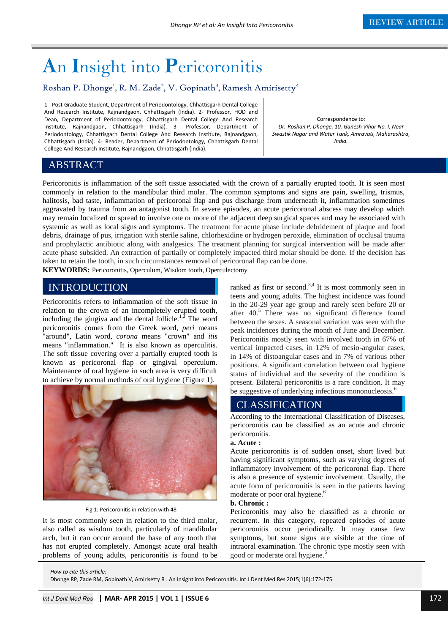# **A**n **I**nsight into **P**ericoronitis

## Roshan P. Dhonge<sup>1</sup>, R. M. Zade<sup>2</sup>, V. Gopinath<sup>3</sup>, Ramesh Amirisetty<sup>4</sup>

1- Post Graduate Student, Department of Periodontology, Chhattisgarh Dental College And Research Institute, Rajnandgaon, Chhattisgarh (India). 2- Professor, HOD and Dean, Department of Periodontology, Chhattisgarh Dental College And Research Institute, Rajnandgaon, Chhattisgarh (India). 3- Professor, Department of Periodontology, Chhattisgarh Dental College And Research Institute, Rajnandgaon, Chhattisgarh (India). 4- Reader, Department of Periodontology, Chhattisgarh Dental College And Research Institute, Rajnandgaon, Chhattisgarh (India).

Correspondence to*: Dr. Roshan P. Dhonge, 10, Ganesh Vihar No. I, Near Swastik Nagar and Water Tank, Amravati, Maharashtra, India.*

### ABSTRACT

Pericoronitis is inflammation of the soft tissue associated with the crown of a partially erupted tooth. It is seen most commonly in relation to the mandibular third molar. The common symptoms and signs are pain, swelling, trismus, halitosis, bad taste, inflammation of pericoronal flap and pus discharge from underneath it, inflammation sometimes aggravated by trauma from an antagonist tooth. In severe episodes, an acute pericoronal abscess may develop which may remain localized or spread to involve one or more of the adjacent deep surgical spaces and may be associated with systemic as well as local signs and symptoms. The treatment for acute phase include debridement of plaque and food debris, drainage of pus, irrigation with sterile saline, chlorhexidine or hydrogen peroxide, elimination of occlusal trauma and prophylactic antibiotic along with analgesics. The treatment planning for surgical intervention will be made after acute phase subsided. An extraction of partially or completely impacted third molar should be done. If the decision has taken to retain the tooth, in such circumstances removal of pericoronal flap can be done.

**KEYWORDS:** Pericoronitis, Operculum, Wisdom tooth, Operculectomy

# **INTRODUCTION**

Pericoronitis refers to inflammation of the soft tissue in relation to the crown of an incompletely erupted tooth, including the gingiva and the dental follicle.<sup>1,2</sup> The word pericoronitis comes from the Greek word, *peri* means "around", Latin word, *corona* means "crown" and *itis* means "inflammation." It is also known as operculitis. The soft tissue covering over a partially erupted tooth is known as pericoronal flap or gingival operculum. Maintenance of oral hygiene in such area is very difficult to achieve by normal methods of oral hygiene (Figure 1).



Fig 1: Pericoronitis in relation with 48

It is most commonly seen in relation to the third molar, also called as wisdom tooth, particularly of mandibular arch, but it can occur around the base of any tooth that has not erupted completely. Amongst acute oral health problems of young adults, pericoronitis is found to be

ranked as first or second.<sup>3,4</sup> It is most commonly seen in teens and young adults. The highest incidence was found in the 20-29 year age group and rarely seen before 20 or after  $40<sup>5</sup>$  There was no significant difference found between the sexes. A seasonal variation was seen with the peak incidences during the month of June and December. Pericoronitis mostly seen with involved tooth in 67% of vertical impacted cases, in 12% of mesio-angular cases, in 14% of distoangular cases and in 7% of various other positions. A significant correlation between oral hygiene status of individual and the severity of the condition is present. Bilateral pericoronitis is a rare condition. It may be suggestive of underlying infectious mononucleosis.<sup>6</sup>

## **CLASSIFICATION**

According to the International Classification of Diseases, pericoronitis can be classified as an acute and chronic pericoronitis.

#### **a. Acute :**

Acute pericoronitis is of sudden onset, short lived but having significant symptoms, such as varying degrees of inflammatory involvement of the pericoronal flap. There is also a presence of systemic involvement. Usually, the acute form of pericoronitis is seen in the patients having moderate or poor oral hygiene.<sup>6</sup>

#### **b. Chronic :**

Pericoronitis may also be classified as a chronic or recurrent. In this category, repeated episodes of acute pericoronitis occur periodically. It may cause few symptoms, but some signs are visible at the time of intraoral examination. The chronic type mostly seen with good or moderate oral hygiene.<sup>6</sup>

*How to cite this article:* 

Dhonge RP, Zade RM, Gopinath V, Amirisetty R . An Insight into Pericoronitis. Int J Dent Med Res 2015;1(6):172-175.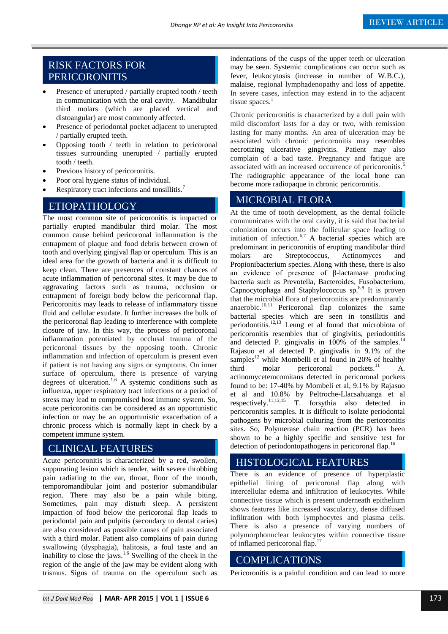## RISK FACTORS FOR PERICORONITIS

- Presence of unerupted / partially erupted tooth / teeth in communication with the oral cavity. Mandibular third molars (which are placed vertical and distoangular) are most commonly affected.
- Presence of periodontal pocket adjacent to unerupted / partially erupted teeth.
- Opposing tooth / teeth in relation to pericoronal tissues surrounding unerupted / partially erupted tooth / teeth.
- Previous history of pericoronitis.
- Poor oral hygiene status of individual.
- Respiratory tract infections and tonsillitis.<sup>7</sup>

## ETIOPATHOLOGY

The most common site of pericoronitis is impacted or partially erupted mandibular third molar. The most common cause behind pericoronal inflammation is the entrapment of plaque and food debris between crown of tooth and overlying gingival flap or operculum. This is an ideal area for the growth of bacteria and it is difficult to keep clean. There are presences of constant chances of acute inflammation of pericoronal sites. It may be due to aggravating factors such as trauma, occlusion or entrapment of foreign body below the pericoronal flap. Pericoronitis may leads to release of inflammatory tissue fluid and cellular exudate. It further increases the bulk of the pericoronal flap leading to interference with complete closure of jaw. In this way, the process of pericoronal inflammation potentiated by occlusal trauma of the pericoronal tissues by the opposing tooth. Chronic inflammation and infection of operculum is present even if patient is not having any signs or symptoms. On inner surface of operculum, there is presence of varying degrees of ulceration.<sup>1,6</sup> A systemic conditions such as influenza, upper respiratory tract infections or a period of stress may lead to compromised host immune system. So, acute pericoronitis can be considered as an opportunistic infection or may be an opportunistic exacerbation of a chronic process which is normally kept in check by a competent immune system.

### CLINICAL FEATURES

Acute pericoronitis is characterized by a red, swollen, suppurating lesion which is tender, with severe throbbing pain radiating to the ear, throat, floor of the mouth, temporomandibular joint and posterior submandibular region. There may also be a pain while biting. Sometimes, pain may disturb sleep. A persistent impaction of food below the pericoronal flap leads to periodontal pain and pulpitis (secondary to dental caries) are also considered as possible causes of pain associated with a third molar. Patient also complains of pain during swallowing (dysphagia), halitosis, a foul taste and an inability to close the jaws.<sup>1,6</sup> Swelling of the cheek in the region of the angle of the jaw may be evident along with trismus. Signs of trauma on the operculum such as indentations of the cusps of the upper teeth or ulceration may be seen. Systemic complications can occur such as fever, leukocytosis (increase in number of W.B.C.), malaise, regional lymphadenopathy and loss of appetite. In severe cases, infection may extend in to the adjacent tissue spaces.<sup>1</sup>

Chronic pericoronitis is characterized by a dull pain with mild discomfort lasts for a day or two, with remission lasting for many months. An area of ulceration may be associated with chronic pericoronitis may resembles necrotizing ulcerative gingivitis. Patient may also complain of a bad taste. Pregnancy and fatigue are associated with an increased occurrence of pericoronitis.<sup>6</sup> The radiographic appearance of the local bone can become more radiopaque in chronic pericoronitis.

#### MICROBIAL FLORA

At the time of tooth development, as the dental follicle communicates with the oral cavity, it is said that bacterial colonization occurs into the follicular space leading to initiation of infection. $67$  A bacterial species which are predominant in pericoronitis of erupting mandibular third molars are Streptococcus, Actinomyces and Propionibacterium species. Along with these, there is also an evidence of presence of β-lactamase producing bacteria such as Prevotella, Bacteroides, Fusobacterium, Capnocytophaga and Staphylococcus sp.8,9 It is proven that the microbial flora of pericoronitis are predominantly anaerobic. $10,11$  Pericoronal flap colonizes the same bacterial species which are seen in tonsillitis and periodontitis.12,13 Leung et al found that microbiota of pericoronitis resembles that of gingivitis, periodontitis and detected P. gingivalis in  $100\%$  of the samples.<sup>14</sup> Rajasuo et al detected P. gingivalis in 9.1% of the samples<sup>12</sup> while Mombelli et al found in 20% of healthy third molar pericoronal pockets.<sup>11</sup> A. actinomycetemcomitans detected in pericoronal pockets found to be: 17-40% by Mombeli et al, 9.1% by Rajasuo et al and 10.8% by Peltroche-Llacsahuanga et al respectively.11,12,15 T. forsythia also detected in pericoronitis samples. It is difficult to isolate periodontal pathogens by microbial culturing from the pericoronitis sites. So, Polymerase chain reaction (PCR) has been shown to be a highly specific and sensitive test for detection of periodontopathogens in pericoronal flap.<sup>16</sup>

#### **a** HISTOLOGICAL FEATURES

There is an evidence of presence of hyperplastic epithelial lining of pericoronal flap along with intercellular edema and infiltration of leukocytes. While connective tissue which is present underneath epithelium shows features like increased vascularity, dense diffused infiltration with both lymphocytes and plasma cells. There is also a presence of varying numbers of polymorphonuclear leukocytes within connective tissue of inflamed pericoronal flap.<sup>17</sup>

## **COMPLICATIONS**

Pericoronitis is a painful condition and can lead to more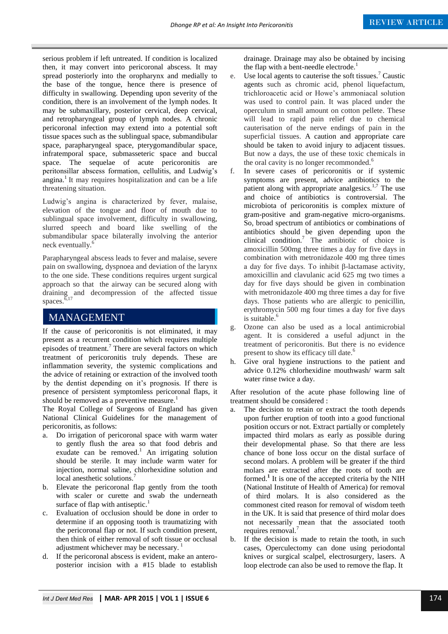serious problem if left untreated. If condition is localized then, it may convert into pericoronal abscess. It may spread posteriorly into the oropharynx and medially to the base of the tongue, hence there is presence of difficulty in swallowing. Depending upon severity of the condition, there is an involvement of the lymph nodes. It may be submaxillary, posterior cervical, deep cervical, and retropharyngeal group of lymph nodes. A chronic pericoronal infection may extend into a potential soft tissue spaces such as the sublingual space, submandibular space, parapharyngeal space, pterygomandibular space, infratemporal space, submasseteric space and buccal space. The sequelae of acute pericoronitis are peritonsillar abscess formation, cellulitis, and Ludwig's angina.<sup>1</sup> It may requires hospitalization and can be a life threatening situation.

Ludwig's angina is characterized by fever, malaise, elevation of the tongue and floor of mouth due to sublingual space involvement, difficulty in swallowing, slurred speech and board like swelling of the submandibular space bilaterally involving the anterior neck eventually.

Parapharyngeal abscess leads to fever and malaise, severe pain on swallowing, dyspnoea and deviation of the larynx to the one side. These conditions requires urgent surgical approach so that the airway can be secured along with draining and decompression of the affected tissue spaces. $\overline{6}$ ,17

### MANAGEMENT

If the cause of pericoronitis is not eliminated, it may present as a recurrent condition which requires multiple episodes of treatment.<sup>7</sup> There are several factors on which treatment of pericoronitis truly depends. These are inflammation severity, the systemic complications and the advice of retaining or extraction of the involved tooth by the dentist depending on it's prognosis. If there is presence of persistent symptomless pericoronal flaps, it should be removed as a preventive measure.<sup>1</sup>

The Royal College of Surgeons of England has given National Clinical Guidelines for the management of pericoronitis, as follows:

- a. Do irrigation of pericoronal space with warm water to gently flush the area so that food debris and exudate can be removed.<sup>1</sup> An irrigating solution should be sterile. It may include warm water for injection, normal saline, chlorhexidine solution and local anesthetic solutions.
- b. Elevate the pericoronal flap gently from the tooth with scaler or curette and swab the underneath surface of flap with antiseptic.<sup>1</sup>
- Evaluation of occlusion should be done in order to determine if an opposing tooth is traumatizing with the pericoronal flap or not. If such condition present, then think of either removal of soft tissue or occlusal adjustment whichever may be necessary.<sup>1</sup>
- d. If the pericoronal abscess is evident, make an anteroposterior incision with a #15 blade to establish

drainage. Drainage may also be obtained by incising the flap with a bent-needle electrode.<sup>1</sup>

- e. Use local agents to cauterise the soft tissues.<sup>7</sup> Caustic agents such as chromic acid, phenol liquefactum, trichloroacetic acid or Howe's ammoniacal solution was used to control pain. It was placed under the operculum in small amount on cotton pellete. These will lead to rapid pain relief due to chemical cauterisation of the nerve endings of pain in the superficial tissues. A caution and appropriate care should be taken to avoid injury to adjacent tissues. But now a days, the use of these toxic chemicals in the oral cavity is no longer recommonded.<sup>6</sup>
- f. In severe cases of pericoronitis or if systemic symptoms are present, advice antibiotics to the patient along with appropriate analgesics. $1,7$  The use and choice of antibiotics is controversial. The microbiota of pericoronitis is complex mixture of gram-positive and gram-negative micro-organisms. So, broad spectrum of antibiotics or combinations of antibiotics should be given depending upon the clinical condition.<sup>7</sup> The antibiotic of choice is amoxicillin 500mg three times a day for five days in combination with metronidazole 400 mg three times a day for five days. To inhibit β-lactamase activity, amoxicillin and clavulanic acid 625 mg two times a day for five days should be given in combination with metronidazole 400 mg three times a day for five days. Those patients who are allergic to penicillin, erythromycin 500 mg four times a day for five days is suitable.<sup>6</sup>
- g. Ozone can also be used as a local antimicrobial agent. It is considered a useful adjunct in the treatment of pericoronitis. But there is no evidence present to show its efficacy till date.<sup>6</sup>
- h. Give oral hygiene instructions to the patient and advice 0.12% chlorhexidine mouthwash/ warm salt water rinse twice a day.

After resolution of the acute phase following line of treatment should be considered :

- a. The decision to retain or extract the tooth depends upon further eruption of tooth into a good functional position occurs or not. Extract partially or completely impacted third molars as early as possible during their developmental phase. So that there are less chance of bone loss occur on the distal surface of second molars. A problem will be greater if the third molars are extracted after the roots of tooth are formed.**<sup>1</sup>** It is one of the accepted criteria by the NIH (National Institute of Health of America) for removal of third molars. It is also considered as the commonest cited reason for removal of wisdom teeth in the UK. It is said that presence of third molar does not necessarily mean that the associated tooth requires removal.<sup>7</sup>
- b. If the decision is made to retain the tooth, in such cases, Operculectomy can done using periodontal knives or surgical scalpel, electrosurgery, lasers. A loop electrode can also be used to remove the flap. It